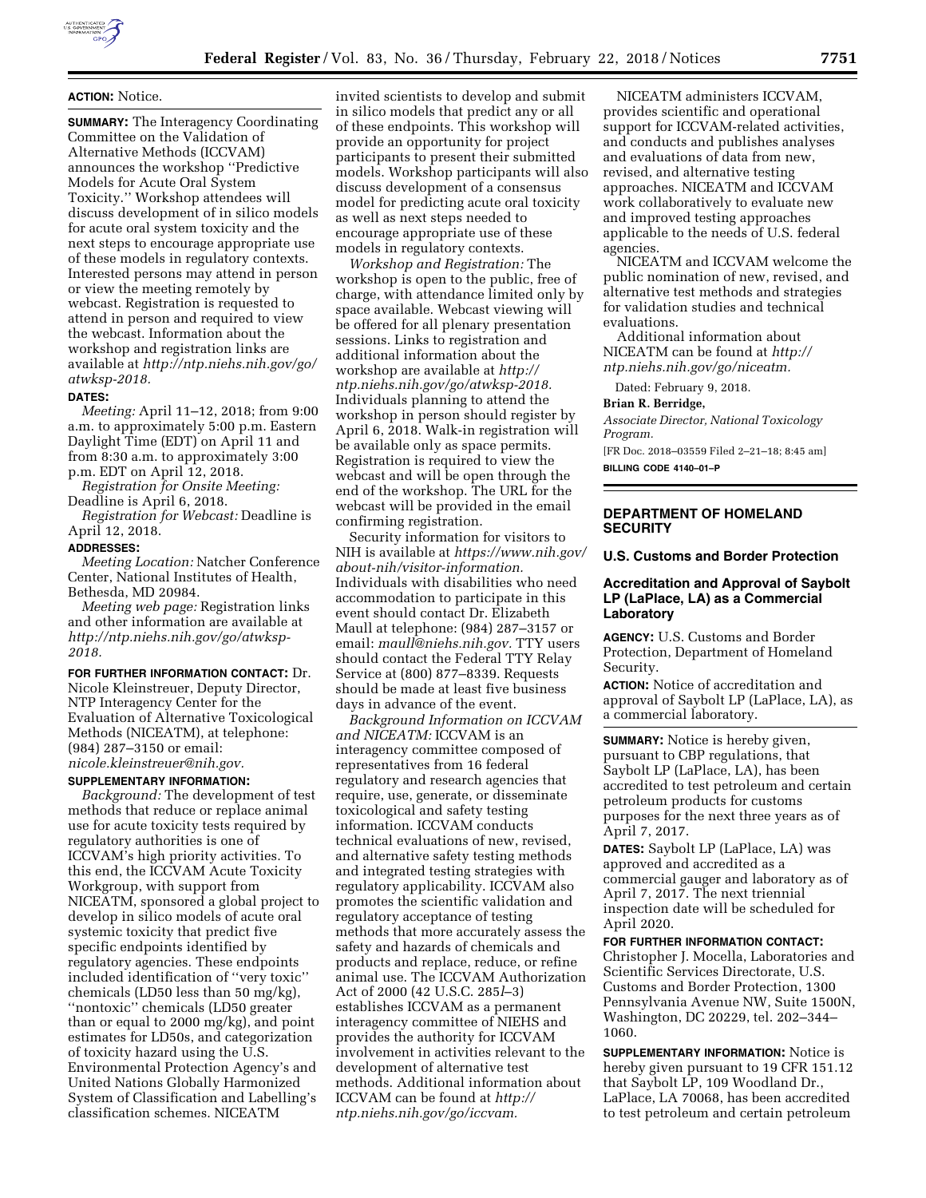

# **ACTION:** Notice.

**SUMMARY:** The Interagency Coordinating Committee on the Validation of Alternative Methods (ICCVAM) announces the workshop ''Predictive Models for Acute Oral System Toxicity.'' Workshop attendees will discuss development of in silico models for acute oral system toxicity and the next steps to encourage appropriate use of these models in regulatory contexts. Interested persons may attend in person or view the meeting remotely by webcast. Registration is requested to attend in person and required to view the webcast. Information about the workshop and registration links are available at *[http://ntp.niehs.nih.gov/go/](http://ntp.niehs.nih.gov/go/atwksp-2018) [atwksp-2018.](http://ntp.niehs.nih.gov/go/atwksp-2018)* 

#### **DATES:**

*Meeting:* April 11–12, 2018; from 9:00 a.m. to approximately 5:00 p.m. Eastern Daylight Time (EDT) on April 11 and from 8:30 a.m. to approximately 3:00 p.m. EDT on April 12, 2018.

*Registration for Onsite Meeting:*  Deadline is April 6, 2018.

*Registration for Webcast:* Deadline is April 12, 2018.

#### **ADDRESSES:**

*Meeting Location:* Natcher Conference Center, National Institutes of Health, Bethesda, MD 20984.

*Meeting web page:* Registration links and other information are available at *[http://ntp.niehs.nih.gov/go/atwksp-](http://ntp.niehs.nih.gov/go/atwksp-2018)[2018.](http://ntp.niehs.nih.gov/go/atwksp-2018)* 

### **FOR FURTHER INFORMATION CONTACT:** Dr.

Nicole Kleinstreuer, Deputy Director, NTP Interagency Center for the Evaluation of Alternative Toxicological Methods (NICEATM), at telephone: (984) 287–3150 or email: *[nicole.kleinstreuer@nih.gov.](mailto:nicole.kleinstreuer@nih.gov)* 

# **SUPPLEMENTARY INFORMATION:**

*Background:* The development of test methods that reduce or replace animal use for acute toxicity tests required by regulatory authorities is one of ICCVAM's high priority activities. To this end, the ICCVAM Acute Toxicity Workgroup, with support from NICEATM, sponsored a global project to develop in silico models of acute oral systemic toxicity that predict five specific endpoints identified by regulatory agencies. These endpoints included identification of ''very toxic'' chemicals (LD50 less than 50 mg/kg), ''nontoxic'' chemicals (LD50 greater than or equal to 2000 mg/kg), and point estimates for LD50s, and categorization of toxicity hazard using the U.S. Environmental Protection Agency's and United Nations Globally Harmonized System of Classification and Labelling's classification schemes. NICEATM

invited scientists to develop and submit in silico models that predict any or all of these endpoints. This workshop will provide an opportunity for project participants to present their submitted models. Workshop participants will also discuss development of a consensus model for predicting acute oral toxicity as well as next steps needed to encourage appropriate use of these models in regulatory contexts.

*Workshop and Registration:* The workshop is open to the public, free of charge, with attendance limited only by space available. Webcast viewing will be offered for all plenary presentation sessions. Links to registration and additional information about the workshop are available at *[http://](http://ntp.niehs.nih.gov/go/atwksp-2018) [ntp.niehs.nih.gov/go/atwksp-2018.](http://ntp.niehs.nih.gov/go/atwksp-2018)*  Individuals planning to attend the workshop in person should register by April 6, 2018. Walk-in registration will be available only as space permits. Registration is required to view the webcast and will be open through the end of the workshop. The URL for the webcast will be provided in the email confirming registration.

Security information for visitors to NIH is available at *[https://www.nih.gov/](https://www.nih.gov/about-nih/visitor-information)  [about-nih/visitor-information.](https://www.nih.gov/about-nih/visitor-information)*  Individuals with disabilities who need accommodation to participate in this event should contact Dr. Elizabeth Maull at telephone: (984) 287–3157 or email: *[maull@niehs.nih.gov.](mailto:maull@niehs.nih.gov)* TTY users should contact the Federal TTY Relay Service at (800) 877–8339. Requests should be made at least five business days in advance of the event.

*Background Information on ICCVAM and NICEATM:* ICCVAM is an interagency committee composed of representatives from 16 federal regulatory and research agencies that require, use, generate, or disseminate toxicological and safety testing information. ICCVAM conducts technical evaluations of new, revised, and alternative safety testing methods and integrated testing strategies with regulatory applicability. ICCVAM also promotes the scientific validation and regulatory acceptance of testing methods that more accurately assess the safety and hazards of chemicals and products and replace, reduce, or refine animal use. The ICCVAM Authorization Act of 2000 (42 U.S.C. 285*l*–3) establishes ICCVAM as a permanent interagency committee of NIEHS and provides the authority for ICCVAM involvement in activities relevant to the development of alternative test methods. Additional information about ICCVAM can be found at *[http://](http://ntp.niehs.nih.gov/go/iccvam) [ntp.niehs.nih.gov/go/iccvam.](http://ntp.niehs.nih.gov/go/iccvam)* 

NICEATM administers ICCVAM, provides scientific and operational support for ICCVAM-related activities, and conducts and publishes analyses and evaluations of data from new, revised, and alternative testing approaches. NICEATM and ICCVAM work collaboratively to evaluate new and improved testing approaches applicable to the needs of U.S. federal agencies.

NICEATM and ICCVAM welcome the public nomination of new, revised, and alternative test methods and strategies for validation studies and technical evaluations.

Additional information about NICEATM can be found at *[http://](http://ntp.niehs.nih.gov/go/niceatm) [ntp.niehs.nih.gov/go/niceatm.](http://ntp.niehs.nih.gov/go/niceatm)* 

Dated: February 9, 2018.

#### **Brian R. Berridge,**

*Associate Director, National Toxicology Program.* 

[FR Doc. 2018–03559 Filed 2–21–18; 8:45 am] **BILLING CODE 4140–01–P** 

# **DEPARTMENT OF HOMELAND SECURITY**

### **U.S. Customs and Border Protection**

## **Accreditation and Approval of Saybolt LP (LaPlace, LA) as a Commercial Laboratory**

**AGENCY:** U.S. Customs and Border Protection, Department of Homeland Security.

**ACTION:** Notice of accreditation and approval of Saybolt LP (LaPlace, LA), as a commercial laboratory.

**SUMMARY:** Notice is hereby given, pursuant to CBP regulations, that Saybolt LP (LaPlace, LA), has been accredited to test petroleum and certain petroleum products for customs purposes for the next three years as of April 7, 2017.

**DATES:** Saybolt LP (LaPlace, LA) was approved and accredited as a commercial gauger and laboratory as of April 7, 2017. The next triennial inspection date will be scheduled for April 2020.

#### **FOR FURTHER INFORMATION CONTACT:**

Christopher J. Mocella, Laboratories and Scientific Services Directorate, U.S. Customs and Border Protection, 1300 Pennsylvania Avenue NW, Suite 1500N, Washington, DC 20229, tel. 202–344– 1060.

**SUPPLEMENTARY INFORMATION:** Notice is hereby given pursuant to 19 CFR 151.12 that Saybolt LP, 109 Woodland Dr., LaPlace, LA 70068, has been accredited to test petroleum and certain petroleum